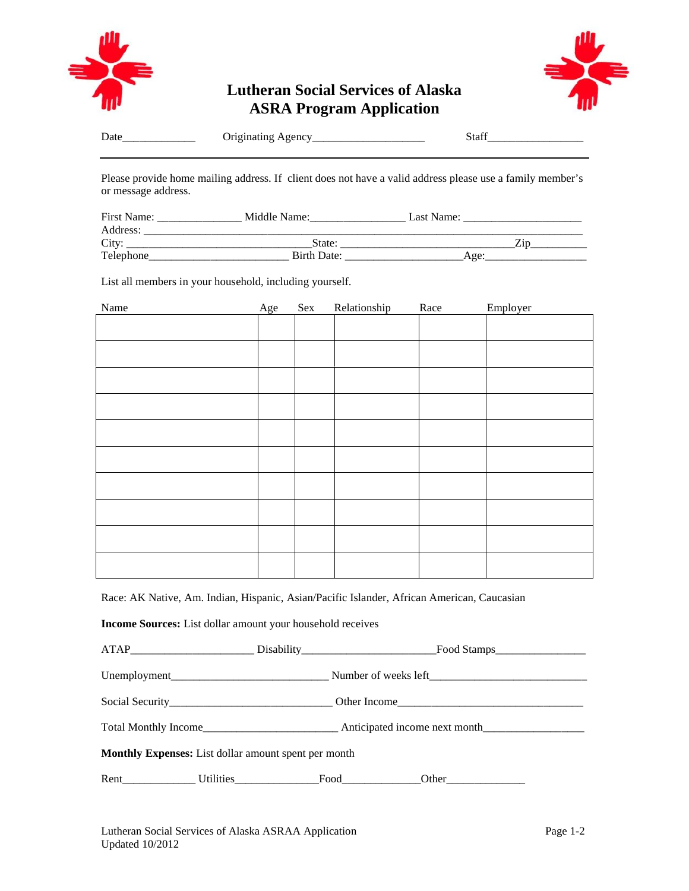

## **Lutheran Social Services of Alaska ASRA Program Application**



| Date | . . | $\sim$<br>__ |
|------|-----|--------------|
|      |     |              |

Please provide home mailing address. If client does not have a valid address please use a family member's or message address.

| First Name: | Middle Name: | Last Name: |  |
|-------------|--------------|------------|--|
| Address:    |              |            |  |
| City:       | State:       |            |  |
| Telephone   | Birth Date:  | Age·       |  |

List all members in your household, including yourself.

| Name | Age | Sex | Relationship | Race | Employer |
|------|-----|-----|--------------|------|----------|
|      |     |     |              |      |          |
|      |     |     |              |      |          |
|      |     |     |              |      |          |
|      |     |     |              |      |          |
|      |     |     |              |      |          |
|      |     |     |              |      |          |
|      |     |     |              |      |          |
|      |     |     |              |      |          |
|      |     |     |              |      |          |
|      |     |     |              |      |          |
|      |     |     |              |      |          |

Race: AK Native, Am. Indian, Hispanic, Asian/Pacific Islander, African American, Caucasian

**Income Sources:** List dollar amount your household receives

|                                                             | Total Monthly Income example and Anticipated income next month |  |
|-------------------------------------------------------------|----------------------------------------------------------------|--|
| <b>Monthly Expenses:</b> List dollar amount spent per month |                                                                |  |
|                                                             |                                                                |  |